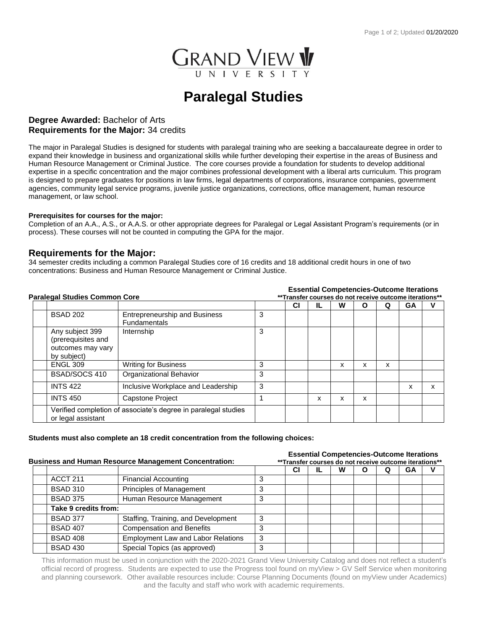

# **Paralegal Studies**

## **Degree Awarded:** Bachelor of Arts **Requirements for the Major:** 34 credits

The major in Paralegal Studies is designed for students with paralegal training who are seeking a baccalaureate degree in order to expand their knowledge in business and organizational skills while further developing their expertise in the areas of Business and Human Resource Management or Criminal Justice. The core courses provide a foundation for students to develop additional expertise in a specific concentration and the major combines professional development with a liberal arts curriculum. This program is designed to prepare graduates for positions in law firms, legal departments of corporations, insurance companies, government agencies, community legal service programs, juvenile justice organizations, corrections, office management, human resource management, or law school.

#### **Prerequisites for courses for the major:**

Completion of an A.A., A.S., or A.A.S. or other appropriate degrees for Paralegal or Legal Assistant Program's requirements (or in process). These courses will not be counted in computing the GPA for the major.

## **Requirements for the Major:**

34 semester credits including a common Paralegal Studies core of 16 credits and 18 additional credit hours in one of two concentrations: Business and Human Resource Management or Criminal Justice.

#### **Essential Competencies-Outcome Iterations**

| Paralegal Studies Common Core |                                                                           |                                                                | **Transfer courses do not receive outcome iterations** |    |    |   |   |   |    |   |  |
|-------------------------------|---------------------------------------------------------------------------|----------------------------------------------------------------|--------------------------------------------------------|----|----|---|---|---|----|---|--|
|                               |                                                                           |                                                                |                                                        | СI | IL | W | Ο | Q | GΑ | ν |  |
|                               | <b>BSAD 202</b>                                                           | <b>Entrepreneurship and Business</b><br><b>Fundamentals</b>    | 3                                                      |    |    |   |   |   |    |   |  |
|                               | Any subject 399<br>(prerequisites and<br>outcomes may vary<br>by subject) | Internship                                                     | 3                                                      |    |    |   |   |   |    |   |  |
|                               | <b>ENGL 309</b>                                                           | <b>Writing for Business</b>                                    | 3                                                      |    |    | x | x | x |    |   |  |
|                               | BSAD/SOCS 410                                                             | Organizational Behavior                                        | 3                                                      |    |    |   |   |   |    |   |  |
|                               | <b>INTS 422</b>                                                           | Inclusive Workplace and Leadership                             | 3                                                      |    |    |   |   |   | x  | x |  |
|                               | <b>INTS 450</b>                                                           | Capstone Project                                               |                                                        |    | x  | x | x |   |    |   |  |
|                               | or legal assistant                                                        | Verified completion of associate's degree in paralegal studies |                                                        |    |    |   |   |   |    |   |  |

#### **Students must also complete an 18 credit concentration from the following choices:**

|                                                              |                                           |   | <b>Essential Competencies-Outcome Iterations</b><br>** Transfer courses do not receive outcome iterations**<br>w<br>СI<br>GА<br>O<br>O<br>IL. |  |  |  |  |  |  |  |  |  |
|--------------------------------------------------------------|-------------------------------------------|---|-----------------------------------------------------------------------------------------------------------------------------------------------|--|--|--|--|--|--|--|--|--|
| <b>Business and Human Resource Management Concentration:</b> |                                           |   |                                                                                                                                               |  |  |  |  |  |  |  |  |  |
|                                                              |                                           |   |                                                                                                                                               |  |  |  |  |  |  |  |  |  |
| <b>ACCT 211</b>                                              | <b>Financial Accounting</b>               |   |                                                                                                                                               |  |  |  |  |  |  |  |  |  |
| <b>BSAD 310</b>                                              | Principles of Management                  | 3 |                                                                                                                                               |  |  |  |  |  |  |  |  |  |
| <b>BSAD 375</b>                                              | Human Resource Management                 |   |                                                                                                                                               |  |  |  |  |  |  |  |  |  |
| Take 9 credits from:                                         |                                           |   |                                                                                                                                               |  |  |  |  |  |  |  |  |  |
| <b>BSAD 377</b>                                              | Staffing, Training, and Development       | 3 |                                                                                                                                               |  |  |  |  |  |  |  |  |  |
| <b>BSAD 407</b>                                              | <b>Compensation and Benefits</b>          | з |                                                                                                                                               |  |  |  |  |  |  |  |  |  |
| <b>BSAD 408</b>                                              | <b>Employment Law and Labor Relations</b> | 3 |                                                                                                                                               |  |  |  |  |  |  |  |  |  |
| <b>BSAD 430</b>                                              | Special Topics (as approved)              |   |                                                                                                                                               |  |  |  |  |  |  |  |  |  |

This information must be used in conjunction with the 2020-2021 Grand View University Catalog and does not reflect a student's official record of progress. Students are expected to use the Progress tool found on myView > GV Self Service when monitoring and planning coursework. Other available resources include: Course Planning Documents (found on myView under Academics) and the faculty and staff who work with academic requirements.